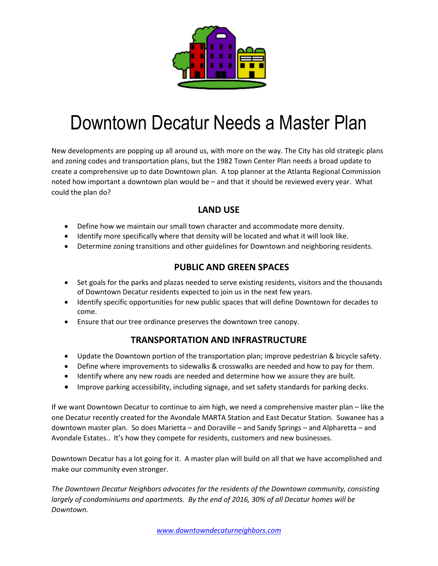

# Downtown Decatur Needs a Master Plan

New developments are popping up all around us, with more on the way. The City has old strategic plans and zoning codes and transportation plans, but the 1982 Town Center Plan needs a broad update to create a comprehensive up to date Downtown plan. A top planner at the Atlanta Regional Commission noted how important a downtown plan would be – and that it should be reviewed every year. What could the plan do?

#### **LAND USE**

- Define how we maintain our small town character and accommodate more density.
- Identify more specifically where that density will be located and what it will look like.
- Determine zoning transitions and other guidelines for Downtown and neighboring residents.

#### **PUBLIC AND GREEN SPACES**

- Set goals for the parks and plazas needed to serve existing residents, visitors and the thousands of Downtown Decatur residents expected to join us in the next few years.
- Identify specific opportunities for new public spaces that will define Downtown for decades to come.
- Ensure that our tree ordinance preserves the downtown tree canopy.

#### **TRANSPORTATION AND INFRASTRUCTURE**

- Update the Downtown portion of the transportation plan; improve pedestrian & bicycle safety.
- Define where improvements to sidewalks & crosswalks are needed and how to pay for them.
- Identify where any new roads are needed and determine how we assure they are built.
- Improve parking accessibility, including signage, and set safety standards for parking decks.

If we want Downtown Decatur to continue to aim high, we need a comprehensive master plan – like the one Decatur recently created for the Avondale MARTA Station and East Decatur Station. Suwanee has a downtown master plan. So does Marietta – and Doraville – and Sandy Springs – and Alpharetta – and Avondale Estates.. It's how they compete for residents, customers and new businesses.

Downtown Decatur has a lot going for it. A master plan will build on all that we have accomplished and make our community even stronger.

*The Downtown Decatur Neighbors advocates for the residents of the Downtown community, consisting largely of condominiums and apartments. By the end of 2016, 30% of all Decatur homes will be Downtown.*